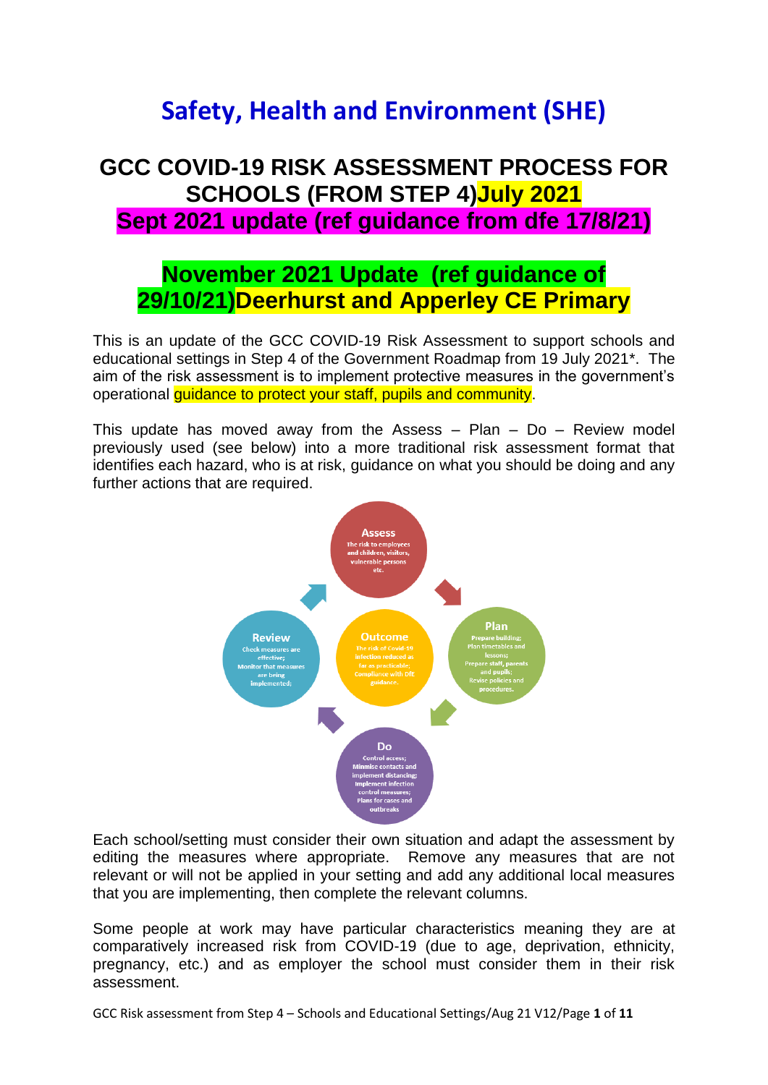# **Safety, Health and Environment (SHE)**

## **GCC COVID-19 RISK ASSESSMENT PROCESS FOR SCHOOLS (FROM STEP 4)July 2021 Sept 2021 update (ref guidance from dfe 17/8/21)**

### **November 2021 Update (ref guidance of 29/10/21)Deerhurst and Apperley CE Primary**

This is an update of the GCC COVID-19 Risk Assessment to support schools and educational settings in Step 4 of the Government Roadmap from 19 July 2021\*. The aim of the risk assessment is to implement protective measures in the government's operational guidance to protect your staff, pupils and community.

This update has moved away from the Assess – Plan – Do – Review model previously used (see below) into a more traditional risk assessment format that identifies each hazard, who is at risk, guidance on what you should be doing and any further actions that are required.



Each school/setting must consider their own situation and adapt the assessment by editing the measures where appropriate. Remove any measures that are not relevant or will not be applied in your setting and add any additional local measures that you are implementing, then complete the relevant columns.

Some people at work may have particular characteristics meaning they are at comparatively increased risk from COVID-19 (due to age, deprivation, ethnicity, pregnancy, etc.) and as employer the school must consider them in their risk assessment.

GCC Risk assessment from Step 4 – Schools and Educational Settings/Aug 21 V12/Page **1** of **11**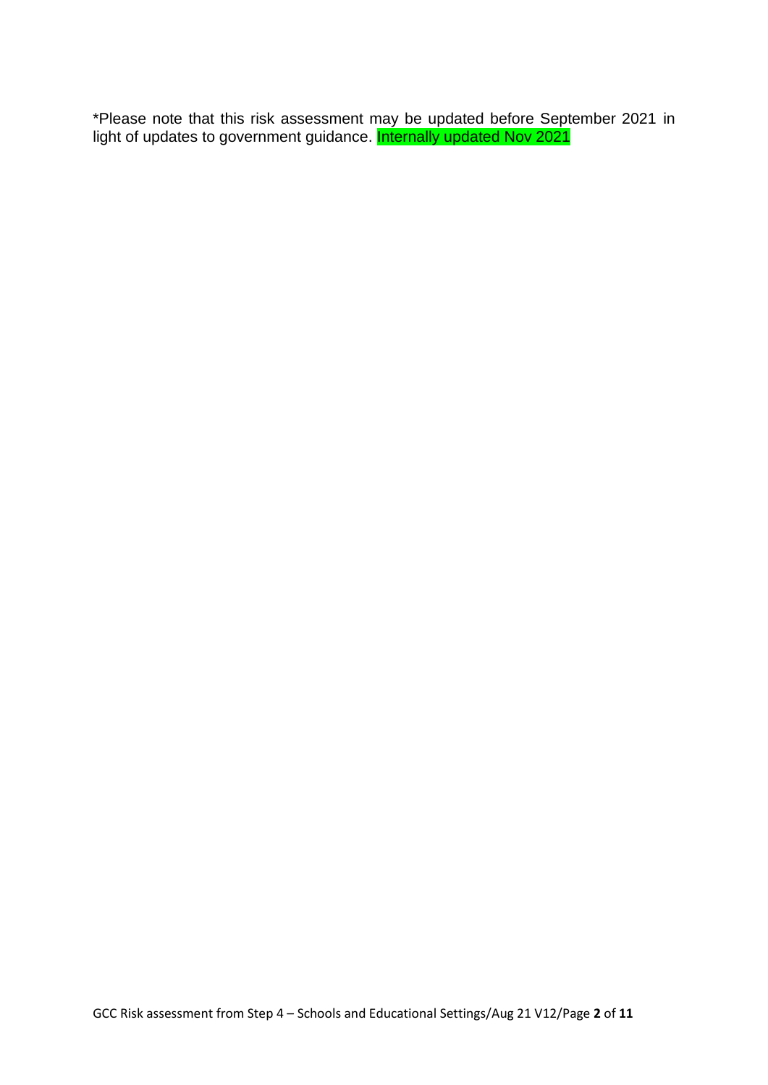\*Please note that this risk assessment may be updated before September 2021 in light of updates to government guidance. **Internally updated Nov 2021**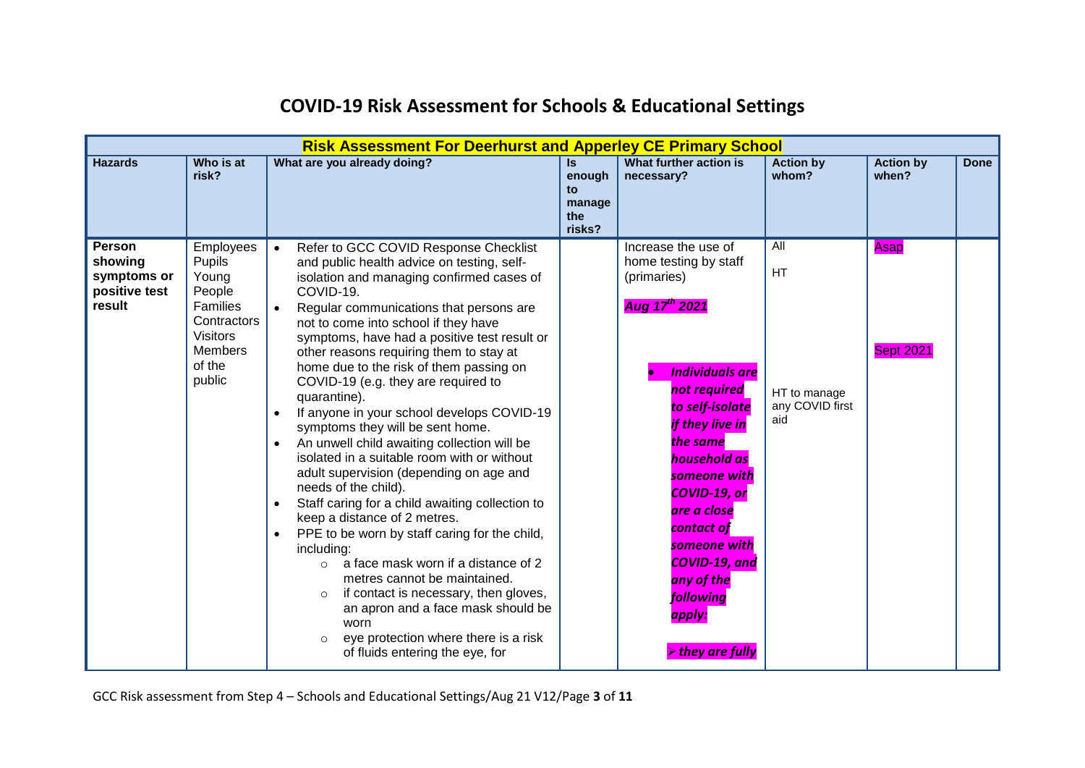|                                                                    |                                                                                                                                   | <b>Risk Assessment For Deerhurst and Apperley CE Primary School</b>                                                                                                                                                                                                                                                                                                                                                                                                                                                                                                                                                                                                                                                                                                                                                                                                                                                                                                                                                                                                                                                                                 |                                                          |                                                                                                                                                                                                                                                                                                                                                                                                 |                                                            |                           |             |
|--------------------------------------------------------------------|-----------------------------------------------------------------------------------------------------------------------------------|-----------------------------------------------------------------------------------------------------------------------------------------------------------------------------------------------------------------------------------------------------------------------------------------------------------------------------------------------------------------------------------------------------------------------------------------------------------------------------------------------------------------------------------------------------------------------------------------------------------------------------------------------------------------------------------------------------------------------------------------------------------------------------------------------------------------------------------------------------------------------------------------------------------------------------------------------------------------------------------------------------------------------------------------------------------------------------------------------------------------------------------------------------|----------------------------------------------------------|-------------------------------------------------------------------------------------------------------------------------------------------------------------------------------------------------------------------------------------------------------------------------------------------------------------------------------------------------------------------------------------------------|------------------------------------------------------------|---------------------------|-------------|
| <b>Hazards</b>                                                     | Who is at<br>risk?                                                                                                                | What are you already doing?                                                                                                                                                                                                                                                                                                                                                                                                                                                                                                                                                                                                                                                                                                                                                                                                                                                                                                                                                                                                                                                                                                                         | $\mathsf{ls}$<br>enough<br>to<br>manage<br>the<br>risks? | What further action is<br>necessary?                                                                                                                                                                                                                                                                                                                                                            | <b>Action by</b><br>whom?                                  | <b>Action by</b><br>when? | <b>Done</b> |
| <b>Person</b><br>showing<br>symptoms or<br>positive test<br>result | Employees<br>Pupils<br>Young<br>People<br><b>Families</b><br>Contractors<br><b>Visitors</b><br><b>Members</b><br>of the<br>public | Refer to GCC COVID Response Checklist<br>and public health advice on testing, self-<br>isolation and managing confirmed cases of<br>COVID-19.<br>Regular communications that persons are<br>not to come into school if they have<br>symptoms, have had a positive test result or<br>other reasons requiring them to stay at<br>home due to the risk of them passing on<br>COVID-19 (e.g. they are required to<br>quarantine).<br>If anyone in your school develops COVID-19<br>$\bullet$<br>symptoms they will be sent home.<br>An unwell child awaiting collection will be<br>isolated in a suitable room with or without<br>adult supervision (depending on age and<br>needs of the child).<br>Staff caring for a child awaiting collection to<br>$\bullet$<br>keep a distance of 2 metres.<br>PPE to be worn by staff caring for the child,<br>$\bullet$<br>including:<br>a face mask worn if a distance of 2<br>$\cap$<br>metres cannot be maintained.<br>if contact is necessary, then gloves,<br>$\Omega$<br>an apron and a face mask should be<br>worn<br>eye protection where there is a risk<br>$\circ$<br>of fluids entering the eye, for |                                                          | Increase the use of<br>home testing by staff<br>(primaries)<br>Aug 17 <sup>th</sup> 2021<br><b>Individuals are</b><br>not required<br>to self-isolate<br>if they live in<br>the same<br>household as<br>someone with<br><b>COVID-19, or</b><br>are a close<br>contact of<br>someone with<br><b>COVID-19, and</b><br>any of the<br><b>following</b><br>apply:<br>$\triangleright$ they are fully | All<br><b>HT</b><br>HT to manage<br>any COVID first<br>aid | Asap<br><b>Sept 2021</b>  |             |

#### **COVID-19 Risk Assessment for Schools & Educational Settings**

GCC Risk assessment from Step 4 – Schools and Educational Settings/Aug 21 V12/Page **3** of **11**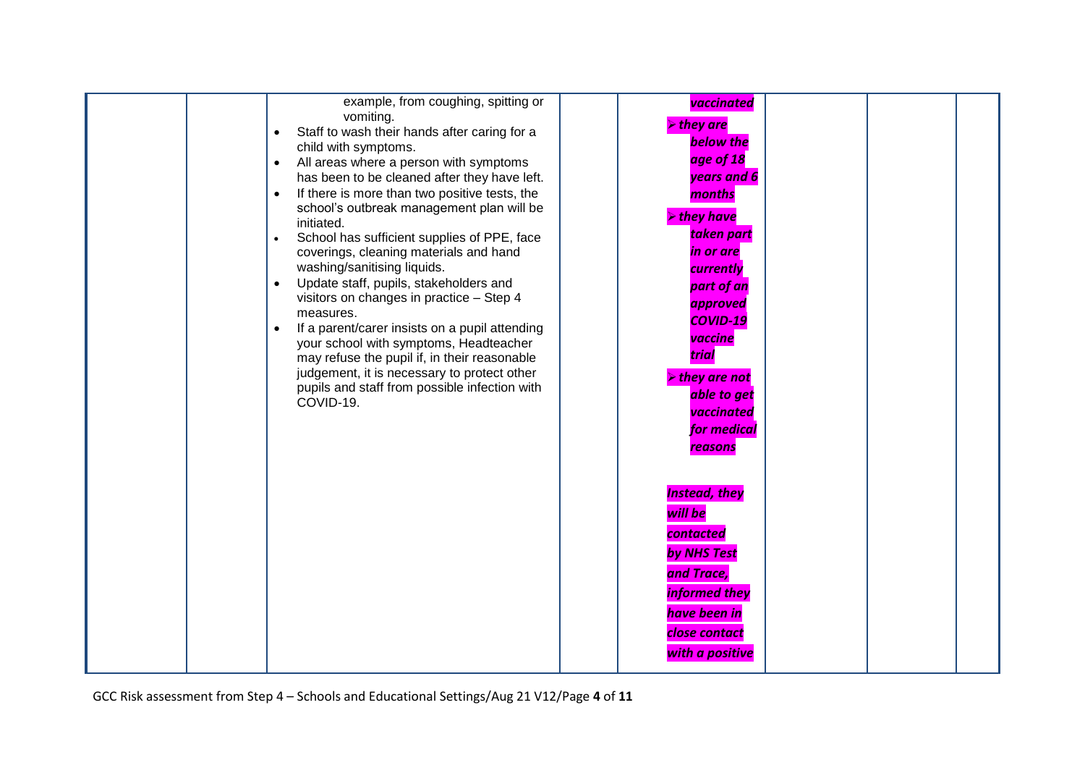| example, from coughing, spitting or<br>vomiting.<br>Staff to wash their hands after caring for a<br>$\bullet$<br>child with symptoms.<br>All areas where a person with symptoms<br>$\bullet$<br>has been to be cleaned after they have left.<br>If there is more than two positive tests, the<br>$\bullet$<br>school's outbreak management plan will be<br>initiated.<br>School has sufficient supplies of PPE, face<br>$\bullet$<br>coverings, cleaning materials and hand<br>washing/sanitising liquids.<br>Update staff, pupils, stakeholders and<br>$\bullet$<br>visitors on changes in practice - Step 4<br>measures.<br>If a parent/carer insists on a pupil attending<br>$\bullet$<br>your school with symptoms, Headteacher<br>may refuse the pupil if, in their reasonable<br>judgement, it is necessary to protect other<br>pupils and staff from possible infection with<br>COVID-19. | vaccinated<br>$\triangleright$ they are<br><b>below the</b><br>age of 18<br>years and 6<br>months<br>$\triangleright$ they have<br>taken part<br>in or are<br>currently<br>part of an<br>approved<br><b>COVID-19</b><br>vaccine<br>trial<br>$\triangleright$ they are not<br>able to get<br>vaccinated<br>for medical<br>reasons |  |
|--------------------------------------------------------------------------------------------------------------------------------------------------------------------------------------------------------------------------------------------------------------------------------------------------------------------------------------------------------------------------------------------------------------------------------------------------------------------------------------------------------------------------------------------------------------------------------------------------------------------------------------------------------------------------------------------------------------------------------------------------------------------------------------------------------------------------------------------------------------------------------------------------|----------------------------------------------------------------------------------------------------------------------------------------------------------------------------------------------------------------------------------------------------------------------------------------------------------------------------------|--|
|                                                                                                                                                                                                                                                                                                                                                                                                                                                                                                                                                                                                                                                                                                                                                                                                                                                                                                  | <b>Instead, they</b><br>will be<br>contacted<br>by NHS Test<br>and Trace,<br>informed they<br>have been in<br>close contact<br>with a positive                                                                                                                                                                                   |  |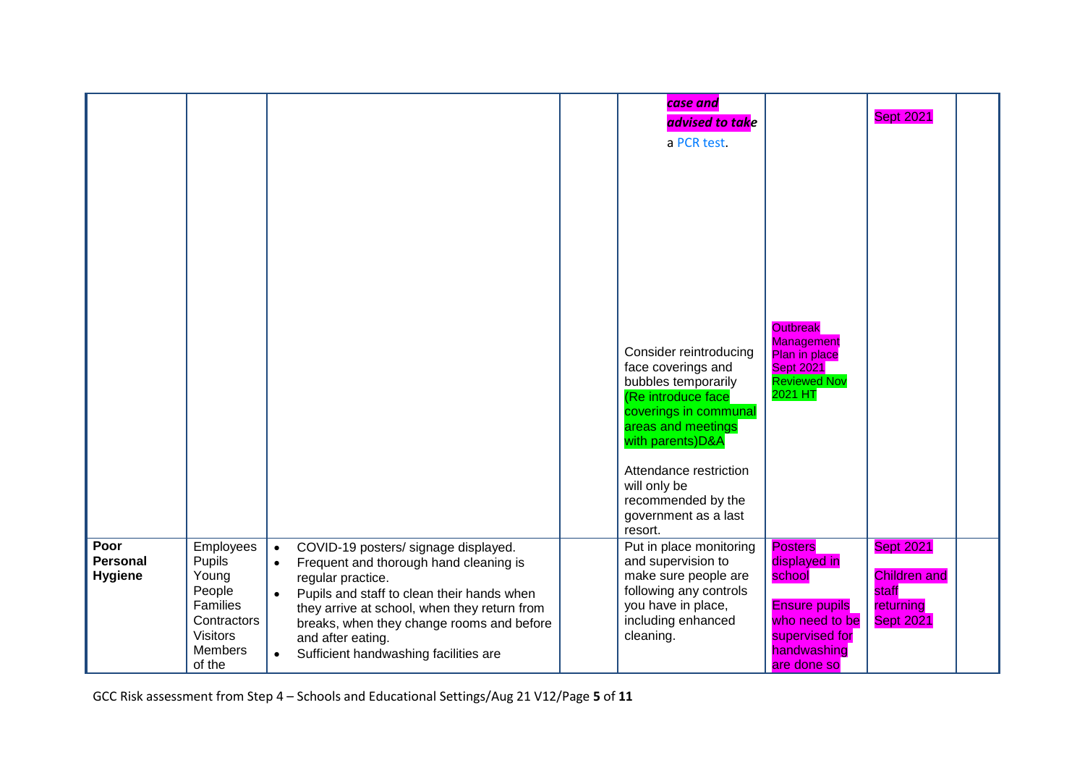|                                           |                                                                                                                  |                                                                                                                                                                                                                                                                                                                                                                  | case and<br>advised to take                                                                                                                              |                                                                                                                                    | <b>Sept 2021</b>                                                                  |  |
|-------------------------------------------|------------------------------------------------------------------------------------------------------------------|------------------------------------------------------------------------------------------------------------------------------------------------------------------------------------------------------------------------------------------------------------------------------------------------------------------------------------------------------------------|----------------------------------------------------------------------------------------------------------------------------------------------------------|------------------------------------------------------------------------------------------------------------------------------------|-----------------------------------------------------------------------------------|--|
|                                           |                                                                                                                  |                                                                                                                                                                                                                                                                                                                                                                  | a PCR test.                                                                                                                                              |                                                                                                                                    |                                                                                   |  |
|                                           |                                                                                                                  |                                                                                                                                                                                                                                                                                                                                                                  | Consider reintroducing<br>face coverings and                                                                                                             | <b>Outbreak</b><br><b>Management</b><br>Plan in place<br><b>Sept 2021</b>                                                          |                                                                                   |  |
|                                           |                                                                                                                  |                                                                                                                                                                                                                                                                                                                                                                  | bubbles temporarily<br>(Re introduce face<br>coverings in communal<br>areas and meetings<br>with parents)D&A                                             | <b>Reviewed Nov</b><br>2021 HT                                                                                                     |                                                                                   |  |
|                                           |                                                                                                                  |                                                                                                                                                                                                                                                                                                                                                                  | Attendance restriction<br>will only be<br>recommended by the<br>government as a last<br>resort.                                                          |                                                                                                                                    |                                                                                   |  |
| Poor<br><b>Personal</b><br><b>Hygiene</b> | Employees<br>Pupils<br>Young<br>People<br>Families<br>Contractors<br><b>Visitors</b><br><b>Members</b><br>of the | COVID-19 posters/ signage displayed.<br>$\bullet$<br>Frequent and thorough hand cleaning is<br>$\bullet$<br>regular practice.<br>Pupils and staff to clean their hands when<br>$\bullet$<br>they arrive at school, when they return from<br>breaks, when they change rooms and before<br>and after eating.<br>Sufficient handwashing facilities are<br>$\bullet$ | Put in place monitoring<br>and supervision to<br>make sure people are<br>following any controls<br>you have in place,<br>including enhanced<br>cleaning. | <b>Posters</b><br>displayed in<br>school<br><b>Ensure pupils</b><br>who need to be<br>supervised for<br>handwashing<br>are done so | <b>Sept 2021</b><br><b>Children and</b><br>staff<br>returning<br><b>Sept 2021</b> |  |

GCC Risk assessment from Step 4 – Schools and Educational Settings/Aug 21 V12/Page **5** of **11**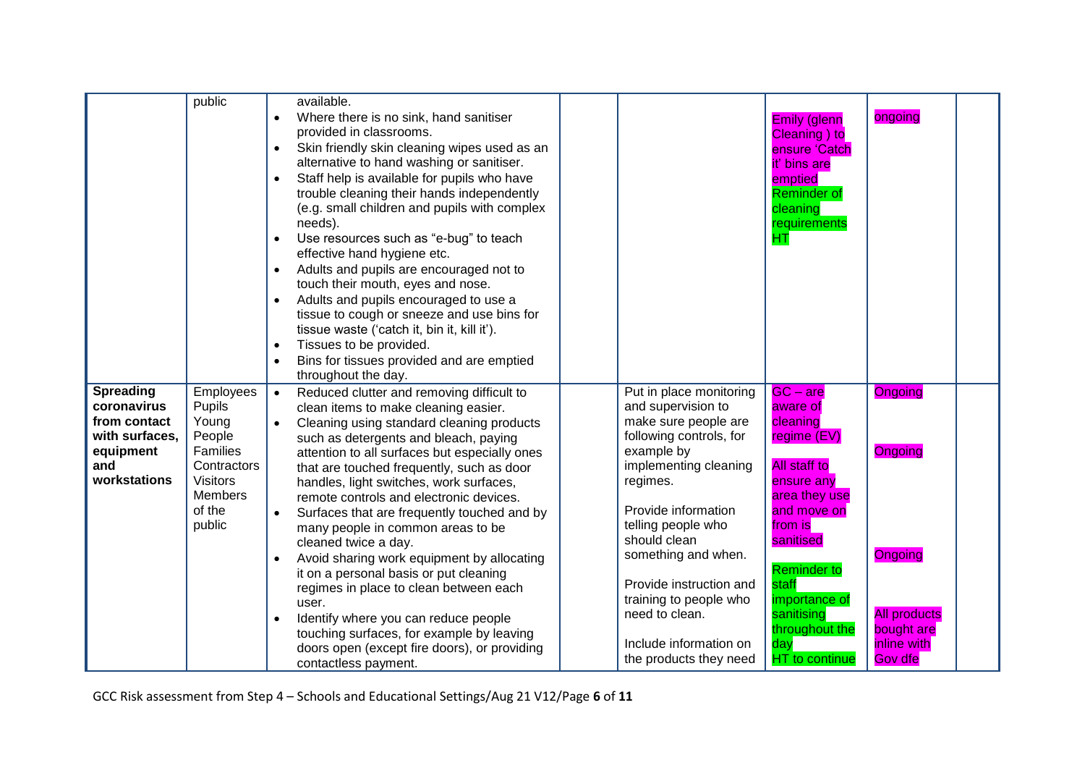|                  | public          | available.                                                |                                    |                       |                     |
|------------------|-----------------|-----------------------------------------------------------|------------------------------------|-----------------------|---------------------|
|                  |                 | Where there is no sink, hand sanitiser<br>$\bullet$       |                                    | <b>Emily (glenn</b>   | ongoing             |
|                  |                 | provided in classrooms.                                   |                                    | Cleaning) to          |                     |
|                  |                 | Skin friendly skin cleaning wipes used as an<br>$\bullet$ |                                    | ensure 'Catch         |                     |
|                  |                 | alternative to hand washing or sanitiser.                 |                                    | it' bins are          |                     |
|                  |                 | Staff help is available for pupils who have<br>$\bullet$  |                                    | emptied               |                     |
|                  |                 | trouble cleaning their hands independently                |                                    | <b>Reminder of</b>    |                     |
|                  |                 | (e.g. small children and pupils with complex              |                                    | cleaning              |                     |
|                  |                 | needs).                                                   |                                    | requirements          |                     |
|                  |                 | Use resources such as "e-bug" to teach<br>$\bullet$       |                                    | <b>HT</b>             |                     |
|                  |                 | effective hand hygiene etc.                               |                                    |                       |                     |
|                  |                 | Adults and pupils are encouraged not to<br>$\bullet$      |                                    |                       |                     |
|                  |                 | touch their mouth, eyes and nose.                         |                                    |                       |                     |
|                  |                 | Adults and pupils encouraged to use a                     |                                    |                       |                     |
|                  |                 | tissue to cough or sneeze and use bins for                |                                    |                       |                     |
|                  |                 | tissue waste ('catch it, bin it, kill it').               |                                    |                       |                     |
|                  |                 | Tissues to be provided.<br>$\bullet$                      |                                    |                       |                     |
|                  |                 | Bins for tissues provided and are emptied<br>$\bullet$    |                                    |                       |                     |
|                  |                 | throughout the day.                                       |                                    |                       |                     |
| <b>Spreading</b> | Employees       | Reduced clutter and removing difficult to<br>$\bullet$    | Put in place monitoring            | $GC - are$            | Ongoing             |
| coronavirus      | Pupils          | clean items to make cleaning easier.                      | and supervision to                 | aware of              |                     |
| from contact     | Young           | Cleaning using standard cleaning products                 | make sure people are               | cleaning              |                     |
| with surfaces,   | People          | such as detergents and bleach, paying                     | following controls, for            | regime (EV)           |                     |
| equipment        | Families        | attention to all surfaces but especially ones             | example by                         |                       | Ongoing             |
| and              | Contractors     | that are touched frequently, such as door                 | implementing cleaning              | <b>All staff to</b>   |                     |
| workstations     | <b>Visitors</b> | handles, light switches, work surfaces,                   | regimes.                           | ensure any            |                     |
|                  | Members         | remote controls and electronic devices.                   |                                    | area they use         |                     |
|                  | of the          | Surfaces that are frequently touched and by<br>$\bullet$  | Provide information                | and move on           |                     |
|                  | public          | many people in common areas to be                         | telling people who<br>should clean | from is               |                     |
|                  |                 | cleaned twice a day.                                      |                                    | sanitised             |                     |
|                  |                 | Avoid sharing work equipment by allocating                | something and when.                | <b>Reminder</b> to    | <b>Ongoing</b>      |
|                  |                 | it on a personal basis or put cleaning                    | Provide instruction and            | staff                 |                     |
|                  |                 | regimes in place to clean between each                    | training to people who             | importance of         |                     |
|                  |                 | user.                                                     | need to clean.                     | sanitising            | <b>All products</b> |
|                  |                 | Identify where you can reduce people                      |                                    | throughout the        | bought are          |
|                  |                 | touching surfaces, for example by leaving                 | Include information on             | day                   | inline with         |
|                  |                 | doors open (except fire doors), or providing              | the products they need             | <b>HT</b> to continue | Gov dfe             |
|                  |                 | contactless payment.                                      |                                    |                       |                     |

GCC Risk assessment from Step 4 – Schools and Educational Settings/Aug 21 V12/Page **6** of **11**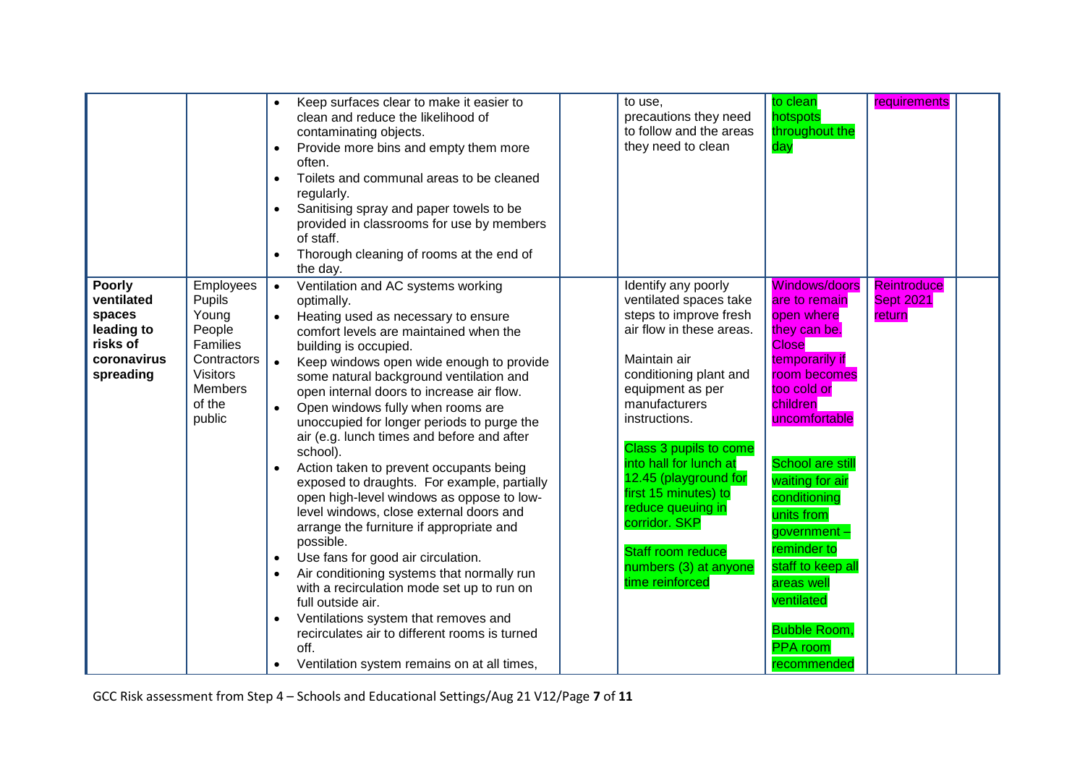|                                                                                                                                                                                                      | Keep surfaces clear to make it easier to<br>clean and reduce the likelihood of<br>contaminating objects.<br>Provide more bins and empty them more<br>$\bullet$<br>often.<br>Toilets and communal areas to be cleaned<br>$\bullet$<br>regularly.<br>Sanitising spray and paper towels to be<br>$\bullet$<br>provided in classrooms for use by members<br>of staff.<br>Thorough cleaning of rooms at the end of<br>the day.                                                                                                                                                                                                                                                                                                                                                                                                                                                                                                                                                                                                                                                                                            | to use,<br>precautions they need<br>to follow and the areas<br>they need to clean                                                                                                                                                                                                                                                                                                                                      | to clean<br>requirements<br>hotspots<br>throughout the<br>day                                                                                                                                                                                                                                                                                                                                                                             |
|------------------------------------------------------------------------------------------------------------------------------------------------------------------------------------------------------|----------------------------------------------------------------------------------------------------------------------------------------------------------------------------------------------------------------------------------------------------------------------------------------------------------------------------------------------------------------------------------------------------------------------------------------------------------------------------------------------------------------------------------------------------------------------------------------------------------------------------------------------------------------------------------------------------------------------------------------------------------------------------------------------------------------------------------------------------------------------------------------------------------------------------------------------------------------------------------------------------------------------------------------------------------------------------------------------------------------------|------------------------------------------------------------------------------------------------------------------------------------------------------------------------------------------------------------------------------------------------------------------------------------------------------------------------------------------------------------------------------------------------------------------------|-------------------------------------------------------------------------------------------------------------------------------------------------------------------------------------------------------------------------------------------------------------------------------------------------------------------------------------------------------------------------------------------------------------------------------------------|
| <b>Poorly</b><br>ventilated<br>Pupils<br>Young<br>spaces<br>leading to<br>People<br>risks of<br><b>Families</b><br>coronavirus<br>spreading<br><b>Visitors</b><br><b>Members</b><br>of the<br>public | Employees<br>Ventilation and AC systems working<br>$\bullet$<br>optimally.<br>$\bullet$<br>Heating used as necessary to ensure<br>comfort levels are maintained when the<br>building is occupied.<br>Contractors<br>$\bullet$<br>Keep windows open wide enough to provide<br>some natural background ventilation and<br>open internal doors to increase air flow.<br>Open windows fully when rooms are<br>$\bullet$<br>unoccupied for longer periods to purge the<br>air (e.g. lunch times and before and after<br>school).<br>Action taken to prevent occupants being<br>exposed to draughts. For example, partially<br>open high-level windows as oppose to low-<br>level windows, close external doors and<br>arrange the furniture if appropriate and<br>possible.<br>Use fans for good air circulation.<br>$\bullet$<br>Air conditioning systems that normally run<br>$\bullet$<br>with a recirculation mode set up to run on<br>full outside air.<br>Ventilations system that removes and<br>$\bullet$<br>recirculates air to different rooms is turned<br>off.<br>Ventilation system remains on at all times, | Identify any poorly<br>ventilated spaces take<br>steps to improve fresh<br>air flow in these areas.<br>Maintain air<br>conditioning plant and<br>equipment as per<br>manufacturers<br>instructions.<br>Class 3 pupils to come<br>into hall for lunch at<br>12.45 (playground for<br>first 15 minutes) to<br>reduce queuing in<br>corridor. SKP<br><b>Staff room reduce</b><br>numbers (3) at anyone<br>time reinforced | <b>Windows/doors</b><br><b>Reintroduce</b><br><b>Sept 2021</b><br>are to remain<br>open where<br>return<br>they can be.<br><b>Close</b><br>temporarily if<br>room becomes<br>too cold or<br>children<br>uncomfortable<br><b>School are still</b><br>waiting for air<br>conditioning<br>units from<br>government-<br>reminder to<br>staff to keep all<br>areas well<br>ventilated<br><b>Bubble Room,</b><br><b>PPA</b> room<br>recommended |

GCC Risk assessment from Step 4 – Schools and Educational Settings/Aug 21 V12/Page **7** of **11**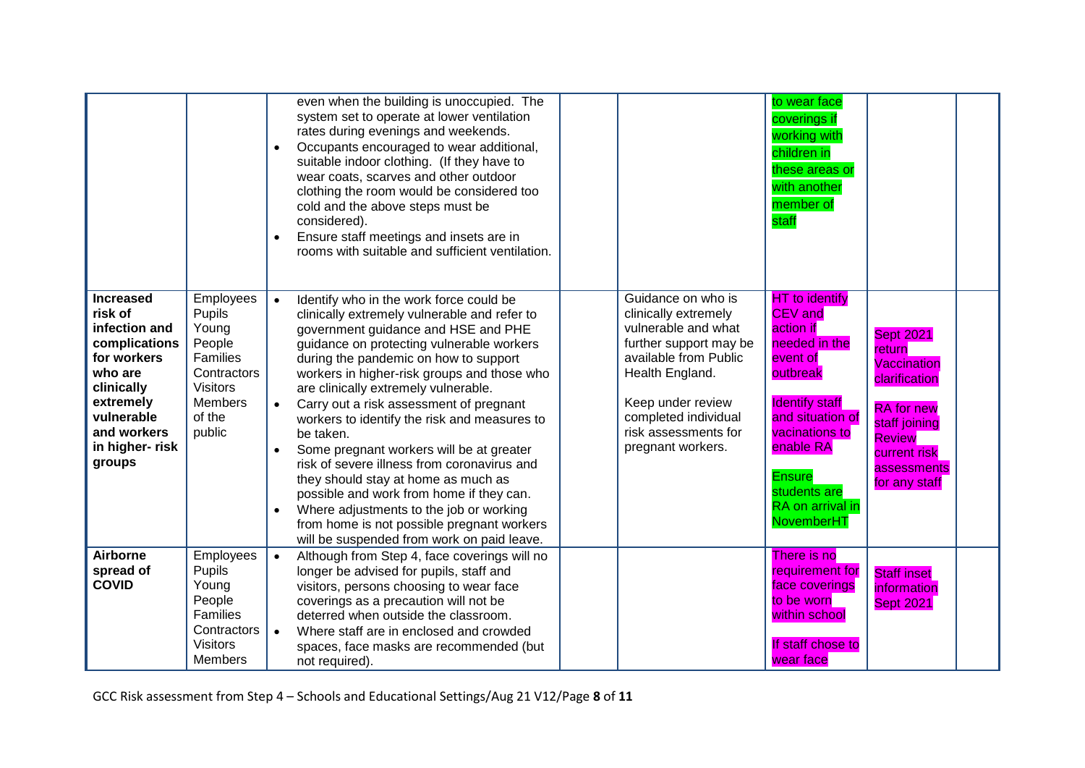|                                                                                                                                                                              |                                                                                                                            | even when the building is unoccupied. The<br>system set to operate at lower ventilation<br>rates during evenings and weekends.<br>Occupants encouraged to wear additional,<br>$\bullet$<br>suitable indoor clothing. (If they have to<br>wear coats, scarves and other outdoor<br>clothing the room would be considered too<br>cold and the above steps must be<br>considered).<br>Ensure staff meetings and insets are in<br>rooms with suitable and sufficient ventilation.                                                                                                                                                                                                                                                                                      |                                                                                                                                                                                                                                   | to wear face<br>coverings if<br>working with<br>children in<br>these areas or<br>with another<br>member of<br>staff                                                                                                                                 |                                                                                                                                                                   |  |
|------------------------------------------------------------------------------------------------------------------------------------------------------------------------------|----------------------------------------------------------------------------------------------------------------------------|--------------------------------------------------------------------------------------------------------------------------------------------------------------------------------------------------------------------------------------------------------------------------------------------------------------------------------------------------------------------------------------------------------------------------------------------------------------------------------------------------------------------------------------------------------------------------------------------------------------------------------------------------------------------------------------------------------------------------------------------------------------------|-----------------------------------------------------------------------------------------------------------------------------------------------------------------------------------------------------------------------------------|-----------------------------------------------------------------------------------------------------------------------------------------------------------------------------------------------------------------------------------------------------|-------------------------------------------------------------------------------------------------------------------------------------------------------------------|--|
| <b>Increased</b><br>risk of<br>infection and<br>complications<br>for workers<br>who are<br>clinically<br>extremely<br>vulnerable<br>and workers<br>in higher- risk<br>groups | Employees<br>Pupils<br>Young<br>People<br>Families<br>Contractors<br><b>Visitors</b><br><b>Members</b><br>of the<br>public | Identify who in the work force could be<br>$\bullet$<br>clinically extremely vulnerable and refer to<br>government guidance and HSE and PHE<br>guidance on protecting vulnerable workers<br>during the pandemic on how to support<br>workers in higher-risk groups and those who<br>are clinically extremely vulnerable.<br>Carry out a risk assessment of pregnant<br>$\bullet$<br>workers to identify the risk and measures to<br>be taken.<br>Some pregnant workers will be at greater<br>risk of severe illness from coronavirus and<br>they should stay at home as much as<br>possible and work from home if they can.<br>Where adjustments to the job or working<br>from home is not possible pregnant workers<br>will be suspended from work on paid leave. | Guidance on who is<br>clinically extremely<br>vulnerable and what<br>further support may be<br>available from Public<br>Health England.<br>Keep under review<br>completed individual<br>risk assessments for<br>pregnant workers. | <b>HT</b> to identify<br><b>CEV</b> and<br>action if<br>needed in the<br>event of<br>outbreak<br><b>Identify staff</b><br>and situation of<br>vacinations to<br>enable RA<br><b>Ensure</b><br>students are<br>RA on arrival in<br><b>NovemberHT</b> | <b>Sept 2021</b><br>return<br>Vaccination<br>clarification<br><b>RA</b> for new<br>staff joining<br><b>Review</b><br>current risk<br>assessments<br>for any staff |  |
| Airborne<br>spread of<br><b>COVID</b>                                                                                                                                        | Employees<br>Pupils<br>Young<br>People<br>Families<br>Contractors<br><b>Visitors</b><br><b>Members</b>                     | Although from Step 4, face coverings will no<br>$\bullet$<br>longer be advised for pupils, staff and<br>visitors, persons choosing to wear face<br>coverings as a precaution will not be<br>deterred when outside the classroom.<br>Where staff are in enclosed and crowded<br>$\bullet$<br>spaces, face masks are recommended (but<br>not required).                                                                                                                                                                                                                                                                                                                                                                                                              |                                                                                                                                                                                                                                   | There is no<br>requirement for<br>face coverings<br>to be worn<br>within school<br>If staff chose to<br>wear face                                                                                                                                   | <b>Staff inset</b><br>information<br><b>Sept 2021</b>                                                                                                             |  |

GCC Risk assessment from Step 4 – Schools and Educational Settings/Aug 21 V12/Page **8** of **11**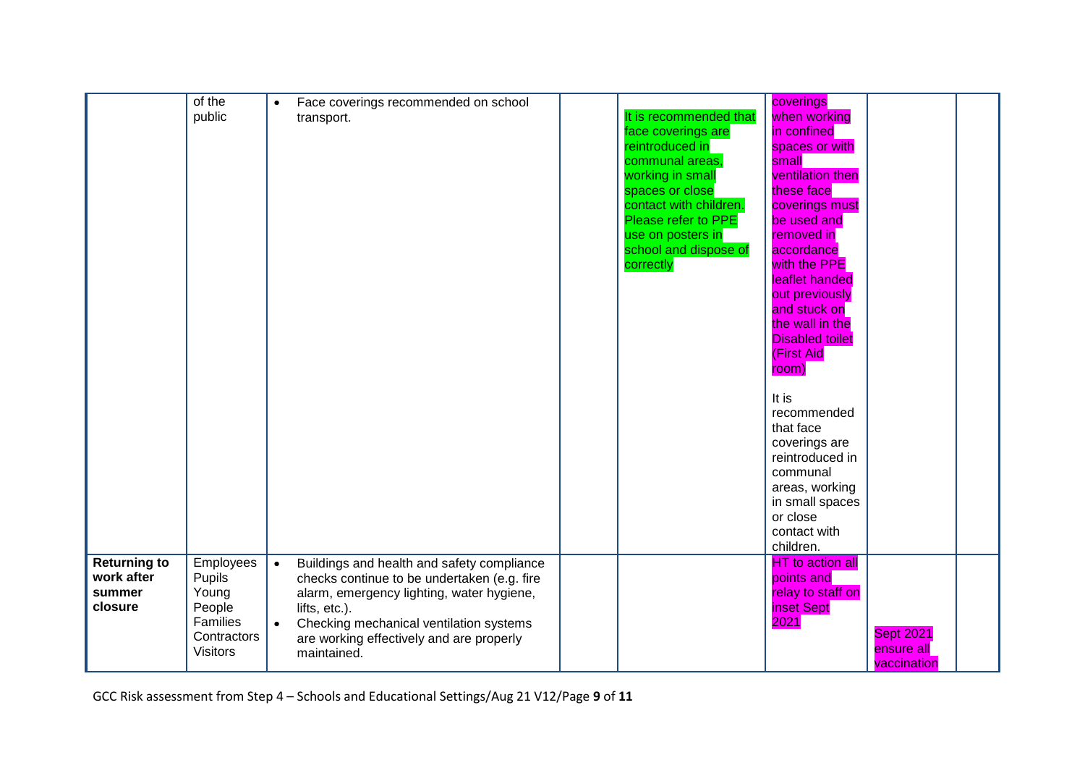|                                                        | of the<br>public                                                                            | Face coverings recommended on school<br>$\bullet$<br>transport.                                                                                                                                                                                                                         | It is recommended that<br>face coverings are<br>reintroduced in<br>communal areas,<br>working in small<br>spaces or close<br>contact with children.<br>Please refer to PPE<br>use on posters in<br>school and dispose of<br>correctly | coverings<br>when working<br>in confined<br>spaces or with<br>small<br>ventilation then<br>these face<br>coverings must<br>be used and<br>removed in<br>accordance<br>with the PPE<br>leaflet handed<br>out previously<br>and stuck on<br>the wall in the<br><b>Disabled toilet</b><br><b>(First Aid</b><br>room)<br>It is<br>recommended<br>that face<br>coverings are<br>reintroduced in<br>communal<br>areas, working<br>in small spaces<br>or close<br>contact with<br>children. |                                               |  |
|--------------------------------------------------------|---------------------------------------------------------------------------------------------|-----------------------------------------------------------------------------------------------------------------------------------------------------------------------------------------------------------------------------------------------------------------------------------------|---------------------------------------------------------------------------------------------------------------------------------------------------------------------------------------------------------------------------------------|--------------------------------------------------------------------------------------------------------------------------------------------------------------------------------------------------------------------------------------------------------------------------------------------------------------------------------------------------------------------------------------------------------------------------------------------------------------------------------------|-----------------------------------------------|--|
| <b>Returning to</b><br>work after<br>summer<br>closure | Employees<br>Pupils<br>Young<br>People<br><b>Families</b><br>Contractors<br><b>Visitors</b> | Buildings and health and safety compliance<br>$\bullet$<br>checks continue to be undertaken (e.g. fire<br>alarm, emergency lighting, water hygiene,<br>lifts, etc.).<br>Checking mechanical ventilation systems<br>$\bullet$<br>are working effectively and are properly<br>maintained. |                                                                                                                                                                                                                                       | <b>HT</b> to action all<br>points and<br>relay to staff on<br>inset Sept<br>2021                                                                                                                                                                                                                                                                                                                                                                                                     | <b>Sept 2021</b><br>ensure all<br>vaccination |  |

GCC Risk assessment from Step 4 – Schools and Educational Settings/Aug 21 V12/Page **9** of **11**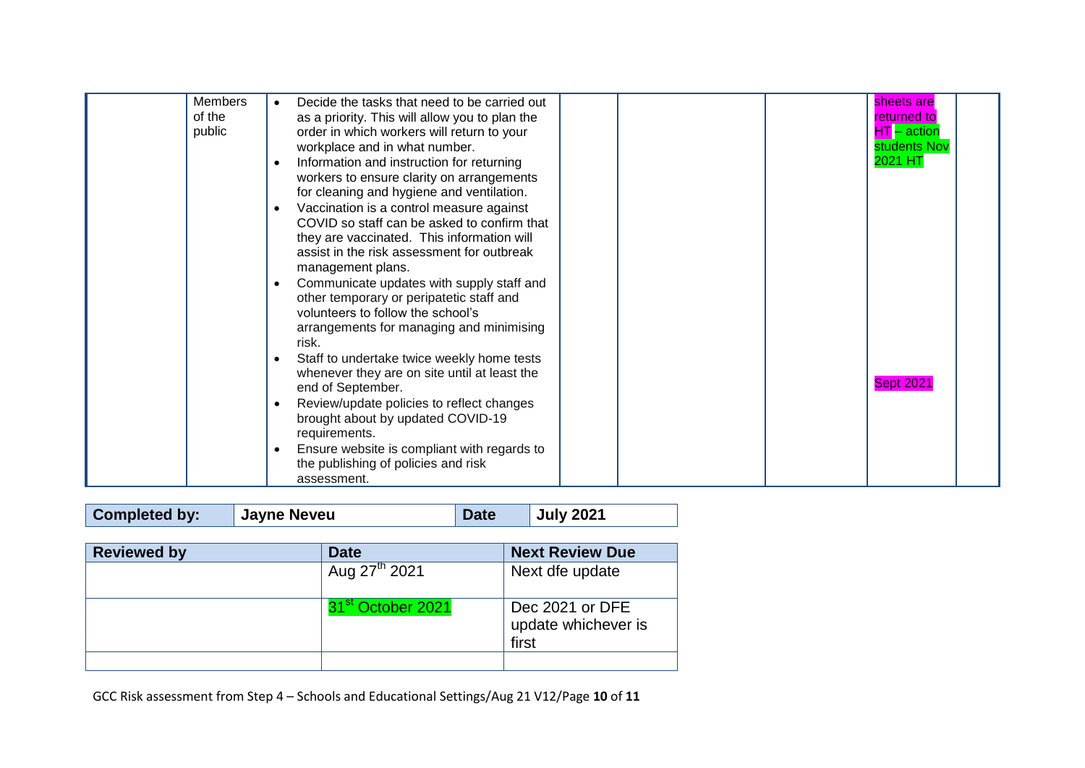| Members<br>$\bullet$<br>of the<br>public<br>$\bullet$<br>$\bullet$<br>$\bullet$ | Decide the tasks that need to be carried out<br>as a priority. This will allow you to plan the<br>order in which workers will return to your<br>workplace and in what number.<br>Information and instruction for returning<br>workers to ensure clarity on arrangements<br>for cleaning and hygiene and ventilation.<br>Vaccination is a control measure against<br>COVID so staff can be asked to confirm that<br>they are vaccinated. This information will<br>assist in the risk assessment for outbreak<br>management plans.<br>Communicate updates with supply staff and | sheets are<br>returned to<br>$HT - action$<br>students Nov<br>2021 HT |
|---------------------------------------------------------------------------------|-------------------------------------------------------------------------------------------------------------------------------------------------------------------------------------------------------------------------------------------------------------------------------------------------------------------------------------------------------------------------------------------------------------------------------------------------------------------------------------------------------------------------------------------------------------------------------|-----------------------------------------------------------------------|
| $\bullet$<br>$\bullet$<br>$\bullet$                                             | other temporary or peripatetic staff and<br>volunteers to follow the school's<br>arrangements for managing and minimising<br>risk.<br>Staff to undertake twice weekly home tests<br>whenever they are on site until at least the<br>end of September.<br>Review/update policies to reflect changes<br>brought about by updated COVID-19<br>requirements.<br>Ensure website is compliant with regards to<br>the publishing of policies and risk<br>assessment.                                                                                                                 | <b>Sept 2021</b>                                                      |

**Completed by:** Jayne Neveu Date July 2021

| <b>Reviewed by</b> | <b>Date</b>               | <b>Next Review Due</b>                          |
|--------------------|---------------------------|-------------------------------------------------|
|                    | Aug 27 <sup>th</sup> 2021 | Next dfe update                                 |
|                    | October 2021              | Dec 2021 or DFE<br>update whichever is<br>first |
|                    |                           |                                                 |

GCC Risk assessment from Step 4 – Schools and Educational Settings/Aug 21 V12/Page **10** of **11**